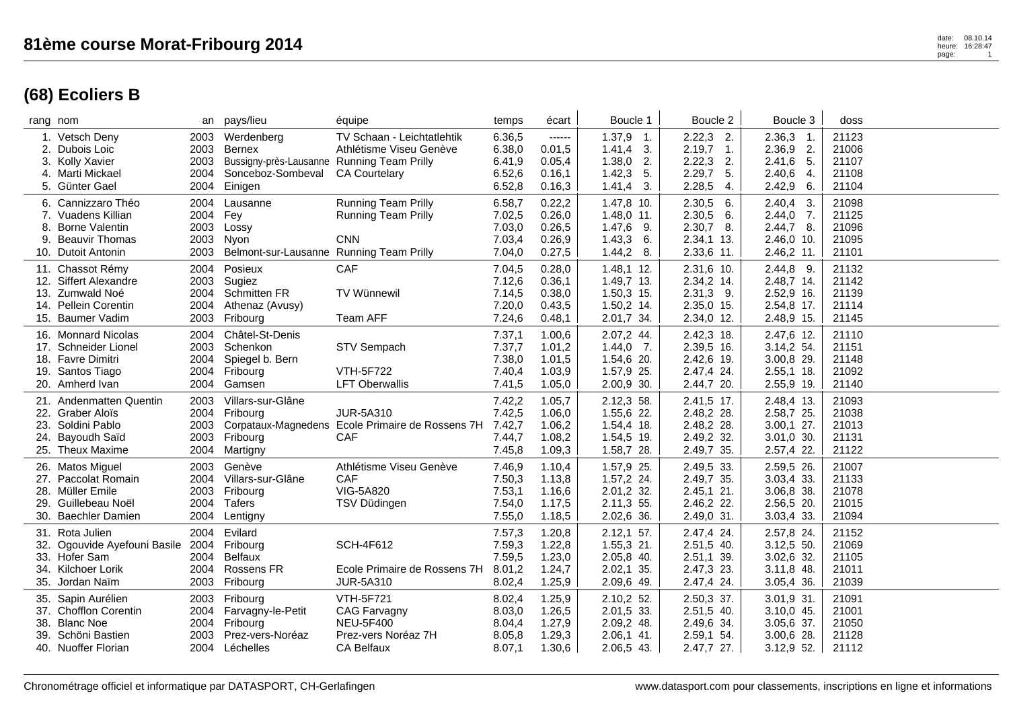## **(68) Ecoliers B**

|            | rang nom                                                                                                     | an                                   | pays/lieu                                                                                          | équipe                                                                                                  | temps                                          | écart                                           | Boucle 1                                                                 | Boucle 2                                                                   | Boucle 3                                                                    | doss                                      |
|------------|--------------------------------------------------------------------------------------------------------------|--------------------------------------|----------------------------------------------------------------------------------------------------|---------------------------------------------------------------------------------------------------------|------------------------------------------------|-------------------------------------------------|--------------------------------------------------------------------------|----------------------------------------------------------------------------|-----------------------------------------------------------------------------|-------------------------------------------|
| 3.         | 1. Vetsch Deny<br>2. Dubois Loic<br>Kolly Xavier<br>4. Marti Mickael<br>5. Günter Gael                       | 2003<br>2003<br>2003<br>2004<br>2004 | Werdenberg<br>Bernex<br>Bussigny-près-Lausanne Running Team Prilly<br>Sonceboz-Sombeval<br>Einigen | TV Schaan - Leichtatlehtik<br>Athlétisme Viseu Genève<br><b>CA Courtelary</b>                           | 6.36,5<br>6.38,0<br>6.41,9<br>6.52,6<br>6.52,8 | ------<br>0.01,5<br>0.05,4<br>0.16,1<br>0.16,3  | $1.37,9$ 1.<br>$1.41,4$ 3.<br>$1.38,0$ 2.<br>$1.42,3$ 5.<br>1.41,4<br>3. | $2.22,3$ 2.<br>$2.19,7$ 1.<br>2.22,3<br>2.<br>2.29,7<br>5.<br>2.28,5<br>4. | $2.36,3$ 1.<br>2.36,9<br>2.<br>2.41,6<br>5.<br>2.40,6<br>4.<br>2.42,9<br>6. | 21123<br>21006<br>21107<br>21108<br>21104 |
| 8.         | 6. Cannizzaro Théo<br>7. Vuadens Killian<br><b>Borne Valentin</b><br>9. Beauvir Thomas<br>10. Dutoit Antonin | 2004<br>2004<br>2003<br>2003<br>2003 | Lausanne<br>Fey<br>Lossy<br>Nyon<br>Belmont-sur-Lausanne Running Team Prilly                       | Running Team Prilly<br>Running Team Prilly<br><b>CNN</b>                                                | 6.58,7<br>7.02,5<br>7.03,0<br>7.03,4<br>7.04,0 | 0.22,2<br>0.26, 0<br>0.26,5<br>0.26,9<br>0.27,5 | 1.47,8 10.<br>1.48,0 11.<br>$1.47,6$ 9.<br>$1.43,3$ 6.<br>$1.44,2$ 8.    | 2.30,5<br>6.<br>$2.30,5$ 6.<br>$2.30,7$ 8.<br>2.34,1 13.<br>2.33,6 11.     | 2.40,4<br>3.<br>$2.44,0$ 7.<br>$2.44,7$ 8.<br>2.46,0 10.<br>2.46,2 11.      | 21098<br>21125<br>21096<br>21095<br>21101 |
| 13.        | 11. Chassot Rémy<br>12. Siffert Alexandre<br>Zumwald Noé<br>14. Pellein Corentin<br>15. Baumer Vadim         | 2004<br>2004<br>2004<br>2003         | Posieux<br>2003 Sugiez<br><b>Schmitten FR</b><br>Athenaz (Avusy)<br>Fribourg                       | CAF<br><b>TV Wünnewil</b><br>Team AFF                                                                   | 7.04,5<br>7.12,6<br>7.14,5<br>7.20,0<br>7.24,6 | 0.28,0<br>0.36,1<br>0.38,0<br>0.43,5<br>0.48,1  | $1.48,1$ 12.<br>1.49,7 13.<br>1.50,3 15.<br>1.50,2 14.<br>2.01,7 34.     | $2.31,6$ 10.<br>2.34,2 14.<br>$2.31,3$ 9.<br>2.35,0 15.<br>2.34,0 12.      | $2.44,8$ 9.<br>2.48,7 14.<br>2.52,9 16.<br>2.54,8 17.<br>2.48,9 15.         | 21132<br>21142<br>21139<br>21114<br>21145 |
|            | 16. Monnard Nicolas<br>17. Schneider Lionel<br>18. Favre Dimitri<br>19. Santos Tiago<br>20. Amherd Ivan      | 2004<br>2003<br>2004                 | Châtel-St-Denis<br>Schenkon<br>Spiegel b. Bern<br>2004 Fribourg<br>2004 Gamsen                     | STV Sempach<br><b>VTH-5F722</b><br><b>LFT Oberwallis</b>                                                | 7.37,1<br>7.37,7<br>7.38,0<br>7.40,4<br>7.41,5 | 1.00,6<br>1.01,2<br>1.01,5<br>1.03,9<br>1.05,0  | 2.07,2 44.<br>$1.44,0$ 7.<br>1.54,6 20.<br>1.57,9 25.<br>2.00,9 30.      | 2.42,3 18.<br>2.39,5 16.<br>2.42,6 19.<br>2.47,4 24.<br>2.44,7 20.         | 2.47,6 12.<br>3.14,2 54.<br>3.00,8 29.<br>$2.55,1$ 18.<br>2.55,9 19.        | 21110<br>21151<br>21148<br>21092<br>21140 |
| 23.<br>24. | 21. Andenmatten Quentin<br>22. Graber Aloïs<br>Soldini Pablo<br>Bayoudh Saïd<br>25. Theux Maxime             | 2003<br>2004<br>2003<br>2003<br>2004 | Villars-sur-Glâne<br>Fribourg<br>Fribourg<br>Martigny                                              | <b>JUR-5A310</b><br>Corpataux-Magnedens Ecole Primaire de Rossens 7H<br><b>CAF</b>                      | 7.42,2<br>7.42,5<br>7.42,7<br>7.44,7<br>7.45,8 | 1.05,7<br>1.06,0<br>1.06,2<br>1.08,2<br>1.09,3  | 2.12,3 58.<br>1.55,6 22.<br>1.54,4 18.<br>1.54,5 19.<br>1.58,7 28.       | 2.41,5 17.<br>2.48,2 28.<br>2.48,2 28.<br>2.49,2 32.<br>2.49,7 35.         | 2.48,4 13.<br>2.58,7 25.<br>$3.00,1$ 27.<br>$3.01,0$ 30.<br>2.57,4 22.      | 21093<br>21038<br>21013<br>21131<br>21122 |
| 29.        | 26. Matos Miguel<br>27. Paccolat Romain<br>28. Müller Emile<br>Guillebeau Noël<br>30. Baechler Damien        | 2003<br>2004<br>2003<br>2004<br>2004 | Genève<br>Villars-sur-Glâne<br>Fribourg<br>Tafers<br>Lentigny                                      | Athlétisme Viseu Genève<br><b>CAF</b><br>VIG-5A820<br>TSV Düdingen                                      | 7.46,9<br>7.50,3<br>7.53,1<br>7.54,0<br>7.55,0 | 1.10,4<br>1.13,8<br>1.16,6<br>1.17,5<br>1.18,5  | 1.57,9 25.<br>1.57,2 24.<br>2.01,2 32.<br>2.11,3 55.<br>2.02,6 36.       | 2.49,5 33.<br>2.49,7 35.<br>2.45,1 21.<br>2.46,2 22.<br>2.49,0 31.         | 2.59,5 26.<br>3.03,4 33.<br>3.06,8 38.<br>2.56,5 20.<br>3.03,4 33.          | 21007<br>21133<br>21078<br>21015<br>21094 |
|            | 31. Rota Julien<br>32. Ogouvide Ayefouni Basile<br>33. Hofer Sam<br>34. Kilchoer Lorik<br>35. Jordan Naïm    | 2004<br>2004<br>2004<br>2004<br>2003 | Evilard<br>Fribourg<br><b>Belfaux</b><br>Rossens FR<br>Fribourg                                    | <b>SCH-4F612</b><br>Ecole Primaire de Rossens 7H<br>JUR-5A310                                           | 7.57,3<br>7.59,3<br>7.59,5<br>8.01,2<br>8.02,4 | 1.20,8<br>1.22,8<br>1.23,0<br>1.24,7<br>1.25,9  | $2.12,1$ 57.<br>1.55,3 21.<br>2.05,8 40.<br>2.02,1 35.<br>2.09,6 49.     | 2.47,4 24.<br>2.51,5 40.<br>2.51,1 39.<br>2.47,3 23.<br>2.47,4 24.         | 2.57,8 24.<br>3.12,55.0<br>3.02,6 32.<br>$3.11,8$ 48.<br>$3.05,4$ 36.       | 21152<br>21069<br>21105<br>21011<br>21039 |
| 39.        | 35. Sapin Aurélien<br>37. Chofflon Corentin<br>38. Blanc Noe<br>Schöni Bastien<br>40. Nuoffer Florian        | 2003<br>2004<br>2004<br>2003         | Fribourg<br>Farvagny-le-Petit<br>Fribourg<br>Prez-vers-Noréaz<br>2004 Léchelles                    | <b>VTH-5F721</b><br><b>CAG Farvagny</b><br><b>NEU-5F400</b><br>Prez-vers Noréaz 7H<br><b>CA Belfaux</b> | 8.02,4<br>8.03,0<br>8.04,4<br>8.05,8<br>8.07,1 | 1.25,9<br>1.26,5<br>1.27,9<br>1.29,3<br>1.30,6  | 2.10,2 52.<br>2.01,5 33.<br>2.09,2 48.<br>$2.06,1$ 41.<br>$2.06,5$ 43.   | 2.50,3 37.<br>2.51,5 40.<br>2.49,6 34.<br>$2.59,1$ 54.<br>$2.47,7$ 27.     | $3.01,9$ 31.<br>$3.10,0$ 45.<br>3.05,6 37.<br>$3.00,6$ 28.<br>$3.12,9$ 52.  | 21091<br>21001<br>21050<br>21128<br>21112 |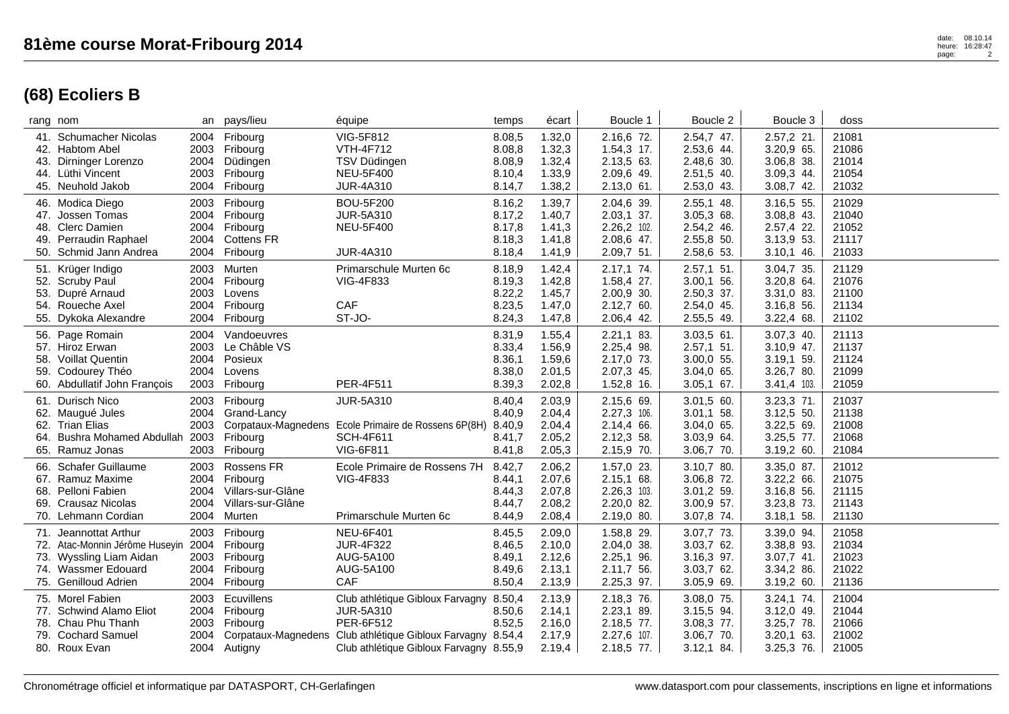## **(68) Ecoliers B**

|     | rang nom                                                                                                                          |                              | an pays/lieu                                                                         | équipe                                                                                                                                                                      | temps                                          | écart                                          | Boucle 1                                                             | Boucle 2                                                                 | Boucle 3                                                                | doss                                      |
|-----|-----------------------------------------------------------------------------------------------------------------------------------|------------------------------|--------------------------------------------------------------------------------------|-----------------------------------------------------------------------------------------------------------------------------------------------------------------------------|------------------------------------------------|------------------------------------------------|----------------------------------------------------------------------|--------------------------------------------------------------------------|-------------------------------------------------------------------------|-------------------------------------------|
|     | 41. Schumacher Nicolas<br>42. Habtom Abel<br>43. Dirninger Lorenzo<br>44. Lüthi Vincent<br>45. Neuhold Jakob                      | 2003<br>2003<br>2004         | 2004 Fribourg<br>Fribourg<br>2004 Düdingen<br>Fribourg<br>Fribourg                   | VIG-5F812<br><b>VTH-4F712</b><br>TSV Düdingen<br><b>NEU-5F400</b><br><b>JUR-4A310</b>                                                                                       | 8.08,5<br>8.08,8<br>8.08,9<br>8.10,4<br>8.14,7 | 1.32,0<br>1.32,3<br>1.32,4<br>1.33,9<br>1.38,2 | 2.16,6 72.<br>1.54,3 17.<br>2.13,5 63.<br>2.09,6 49.<br>$2.13,0$ 61. | 2.54,7 47.<br>2.53,6 44.<br>2.48,6 30.<br>2.51,5 40.<br>2.53,0 43.       | 2.57,2 21.<br>3.20,9 65.<br>3.06,8 38.<br>3.09,3 44.<br>3.08,7 42.      | 21081<br>21086<br>21014<br>21054<br>21032 |
|     | 46. Modica Diego<br>47. Jossen Tomas<br>48. Clerc Damien<br>49. Perraudin Raphael<br>50. Schmid Jann Andrea                       | 2003<br>2004<br>2004         | Fribourg<br>2004 Fribourg<br>2004 Fribourg<br><b>Cottens FR</b><br>Fribourg          | <b>BOU-5F200</b><br><b>JUR-5A310</b><br><b>NEU-5F400</b><br><b>JUR-4A310</b>                                                                                                | 8.16,2<br>8.17,2<br>8.17,8<br>8.18,3<br>8.18,4 | 1.39,7<br>1.40,7<br>1.41,3<br>1.41,8<br>1.41,9 | 2.04,6 39.<br>2.03,1 37.<br>2.26,2 102.<br>2.08,6 47.<br>2.09,7 51.  | 2.55,1 48.<br>3.05,3 68.<br>2.54,2 46.<br>2.55,8 50.<br>2.58,6 53.       | 3.16,5 55.<br>$3.08,8$ 43.<br>2.57,4 22.<br>3.13,9 53.<br>$3.10,1$ 46.  | 21029<br>21040<br>21052<br>21117<br>21033 |
|     | 51. Krüger Indigo<br>52. Scruby Paul<br>53. Dupré Arnaud<br>54. Roueche Axel<br>55. Dykoka Alexandre                              | 2003<br>2003<br>2004<br>2004 | Murten<br>2004 Fribourg<br>Lovens<br>Fribourg<br>Fribourg                            | Primarschule Murten 6c<br><b>VIG-4F833</b><br>CAF<br>ST-JO-                                                                                                                 | 8.18,9<br>8.19,3<br>8.22,2<br>8.23,5<br>8.24,3 | 1.42,4<br>1.42,8<br>1.45,7<br>1.47,0<br>1.47,8 | 2.17,1 74.<br>1.58,4 27.<br>2.00,9 30.<br>2.12,7 60.<br>2.06,4 42.   | $2.57,1$ 51.<br>$3.00,1$ 56.<br>2.50,3 37.<br>2.54,0 45.<br>2.55,5 49.   | 3.04,7 35.<br>3.20,8 64.<br>$3.31,0$ 83.<br>3.16,8 56.<br>3.22,4 68.    | 21129<br>21076<br>21100<br>21134<br>21102 |
|     | 56. Page Romain<br>57. Hiroz Erwan<br>58. Voillat Quentin<br>59. Codourey Théo<br>60. Abdullatif John François                    | 2004<br>2003<br>2004<br>2003 | Vandoeuvres<br>Le Châble VS<br>2004 Posieux<br>Lovens<br>Fribourg                    | PER-4F511                                                                                                                                                                   | 8.31,9<br>8.33,4<br>8.36,1<br>8.38,0<br>8.39,3 | 1.55,4<br>1.56,9<br>1.59,6<br>2.01,5<br>2.02,8 | 2.21,1 83.<br>2.25,4 98.<br>2.17,0 73.<br>2.07,3 45.<br>1.52,8 16.   | $3.03,5$ 61.<br>$2.57,1$ 51.<br>3.00,0 55.<br>3.04,0 65.<br>$3.05,1$ 67. | 3.07,3 40.<br>$3.10,9$ 47.<br>3.19,1 59.<br>3.26,7 80.<br>$3.41,4$ 103. | 21113<br>21137<br>21124<br>21099<br>21059 |
| 64. | 61. Durisch Nico<br>62. Maugué Jules<br>62. Trian Elias<br>Bushra Mohamed Abdullah<br>65. Ramuz Jonas                             | 2003<br>2003<br>2003<br>2003 | Fribourg<br>2004 Grand-Lancy<br>Fribourg<br>Fribourg                                 | <b>JUR-5A310</b><br>Corpataux-Magnedens Ecole Primaire de Rossens 6P(8H)<br><b>SCH-4F611</b><br>VIG-6F811                                                                   | 8.40,4<br>8.40,9<br>8.40,9<br>8.41,7<br>8.41,8 | 2.03,9<br>2.04,4<br>2.04,4<br>2.05,2<br>2.05,3 | 2.15,6 69.<br>2.27,3 106.<br>2.14,4 66.<br>2.12,3 58.<br>2.15,9 70.  | $3.01,5$ 60.<br>3.01.1 58.<br>3.04,0 65.<br>3.03,9 64.<br>3.06,7 70.     | 3.23,3 71.<br>$3.12,5$ 50.<br>3.22,5 69.<br>3.25,5 77.<br>3.19,2 60.    | 21037<br>21138<br>21008<br>21068<br>21084 |
|     | 66. Schafer Guillaume<br>67. Ramuz Maxime<br>68. Pelloni Fabien<br>69. Crausaz Nicolas<br>70. Lehmann Cordian                     | 2003<br>2004<br>2004         | Rossens FR<br>2004 Fribourg<br>Villars-sur-Glâne<br>Villars-sur-Glâne<br>2004 Murten | Ecole Primaire de Rossens 7H<br>VIG-4F833<br>Primarschule Murten 6c                                                                                                         | 8.42,7<br>8.44,1<br>8.44,3<br>8.44,7<br>8.44,9 | 2.06,2<br>2.07,6<br>2.07,8<br>2.08,2<br>2.08,4 | 1.57,0 23.<br>2.15,1 68.<br>2.26,3 103.<br>2.20,0 82.<br>2.19,0 80.  | 3.10,7 80.<br>3.06,8 72.<br>3.01,2 59.<br>3.00,9 57.<br>3.07,8 74.       | 3.35,0 87.<br>3.22,2 66.<br>3.16,8 56.<br>3.23,8 73.<br>3.18,1 58.      | 21012<br>21075<br>21115<br>21143<br>21130 |
|     | 71. Jeannottat Arthur<br>72. Atac-Monnin Jérôme Huseyin<br>73. Wyssling Liam Aidan<br>74. Wassmer Edouard<br>75. Genilloud Adrien | 2003<br>2004                 | Fribourg<br>Fribourg<br>2003 Fribourg<br>2004 Fribourg<br>2004 Fribourg              | <b>NEU-6F401</b><br><b>JUR-4F322</b><br>AUG-5A100<br>AUG-5A100<br>CAF                                                                                                       | 8.45,5<br>8.46,5<br>8.49,1<br>8.49,6<br>8.50,4 | 2.09,0<br>2.10,0<br>2.12,6<br>2.13,1<br>2.13,9 | 1.58,8 29.<br>2.04,0 38.<br>2.25,1 96.<br>2.11,7 56.<br>2.25,3 97.   | 3.07,7 73.<br>3.03,7 62.<br>3.16,3 97.<br>3.03,762.<br>3.05,9 69.        | 3.39,0 94.<br>3.38,8 93.<br>3.07,7 41.<br>3.34,2 86.<br>3.19,2 60.      | 21058<br>21034<br>21023<br>21022<br>21136 |
|     | 75. Morel Fabien<br>77. Schwind Alamo Eliot<br>78. Chau Phu Thanh<br>79. Cochard Samuel<br>80. Roux Evan                          | 2003<br>2003<br>2004         | Ecuvillens<br>2004 Fribourg<br>Fribourg<br>2004 Autigny                              | Club athlétique Gibloux Farvagny<br><b>JUR-5A310</b><br>PER-6F512<br>Corpataux-Magnedens Club athlétique Gibloux Farvagny 8.54,4<br>Club athlétique Gibloux Farvagny 8.55,9 | 8.50,4<br>8.50,6<br>8.52,5                     | 2.13,9<br>2.14,1<br>2.16,0<br>2.17,9<br>2.19,4 | 2.18,3 76.<br>2.23,1 89.<br>2.18,5 77.<br>2.27,6 107.<br>2.18,5 77.  | 3.08,0 75.<br>3.15,5 94.<br>3.08,3 77.<br>3.06,7 70.<br>$3.12,1$ 84.     | 3.24,1 74.<br>3.12,0 49.<br>3.25,7 78.<br>$3.20,1$ 63.<br>$3.25,3$ 76.  | 21004<br>21044<br>21066<br>21002<br>21005 |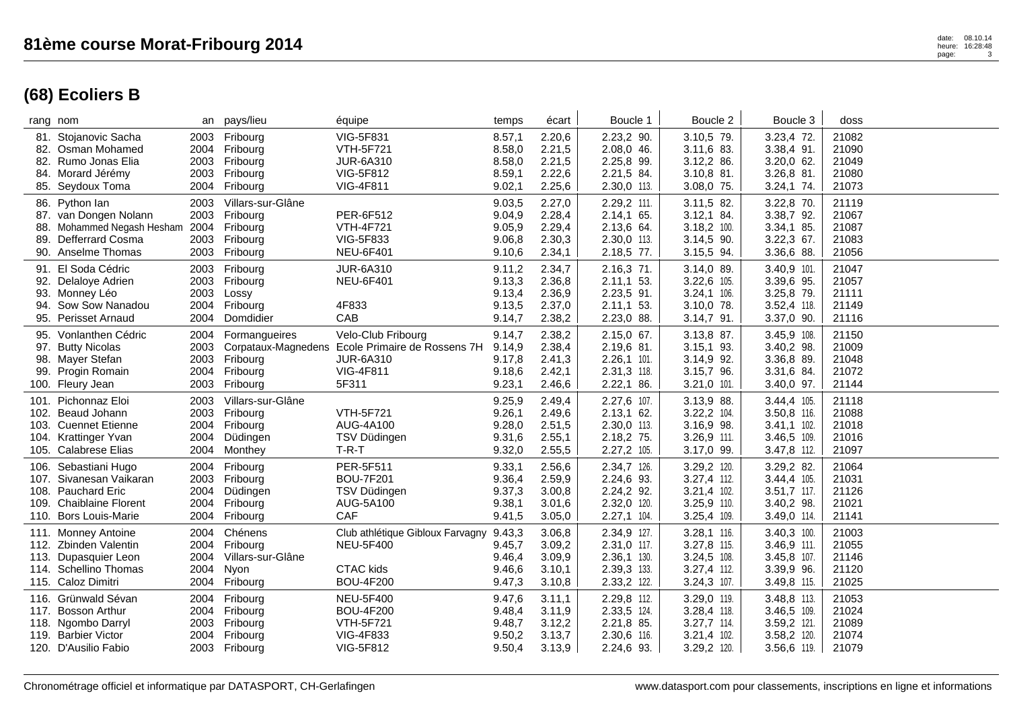| rang nom                                                                                                                  |                                      | an pays/lieu                                                                    | équipe                                                                                                           | temps                                          | écart                                          | Boucle 1                                                                   | Boucle 2                                                                    | Boucle 3                                                                  | doss                                      |  |
|---------------------------------------------------------------------------------------------------------------------------|--------------------------------------|---------------------------------------------------------------------------------|------------------------------------------------------------------------------------------------------------------|------------------------------------------------|------------------------------------------------|----------------------------------------------------------------------------|-----------------------------------------------------------------------------|---------------------------------------------------------------------------|-------------------------------------------|--|
| 81. Stojanovic Sacha<br>82. Osman Mohamed<br>82. Rumo Jonas Elia<br>84. Morard Jérémy<br>85. Seydoux Toma                 | 2003<br>2004<br>2003<br>2004         | Fribourg<br>Fribourg<br>2003 Fribourg<br>Fribourg<br>Fribourg                   | <b>VIG-5F831</b><br><b>VTH-5F721</b><br><b>JUR-6A310</b><br>VIG-5F812<br>VIG-4F811                               | 8.57,1<br>8.58,0<br>8.58,0<br>8.59,1<br>9.02,1 | 2.20,6<br>2.21,5<br>2.21,5<br>2.22,6<br>2.25,6 | 2.23,2 90.<br>2.08,0 46.<br>2.25,8 99.<br>2.21,5 84.<br>2.30,0 113.        | 3.10,5 79.<br>3.11,6 83.<br>3.12,2 86.<br>3.10,8 81.<br>3.08,0 75.          | 3.23,4 72.<br>3.38,4 91.<br>$3.20,0$ 62.<br>3.26,8 81.<br>$3.24,1$ 74.    | 21082<br>21090<br>21049<br>21080<br>21073 |  |
| 86. Python lan<br>87. van Dongen Nolann<br>88. Mohammed Negash Hesham<br>89. Defferrard Cosma<br>90. Anselme Thomas       | 2003<br>2003<br>2004<br>2003<br>2003 | Villars-sur-Glâne<br>Fribourg<br>Fribourg<br>Fribourg<br>Fribourg               | PER-6F512<br><b>VTH-4F721</b><br>VIG-5F833<br><b>NEU-6F401</b>                                                   | 9.03,5<br>9.04,9<br>9.05,9<br>9.06,8<br>9.10,6 | 2.27,0<br>2.28,4<br>2.29,4<br>2.30,3<br>2.34,1 | 2.29,2 111.<br>2.14,1 65.<br>2.13,6 64.<br>2.30,0 113.<br>2.18,5 77.       | 3.11,5 82.<br>$3.12,1$ 84.<br>3.18,2 100.<br>3.14,5 90.<br>3.15,5 94.       | 3.22,8 70.<br>3.38,7 92.<br>3.34,1 85.<br>3.22,3 67.<br>3.36,6 88.        | 21119<br>21067<br>21087<br>21083<br>21056 |  |
| 91. El Soda Cédric<br>92. Delaloye Adrien<br>93. Monney Léo<br>94. Sow Sow Nanadou<br>95. Perisset Arnaud                 | 2003<br>2003<br>2003<br>2004<br>2004 | Fribourg<br>Fribourg<br>Lossy<br>Fribourg<br>Domdidier                          | <b>JUR-6A310</b><br><b>NEU-6F401</b><br>4F833<br>CAB                                                             | 9.11,2<br>9.13,3<br>9.13,4<br>9.13,5<br>9.14,7 | 2.34,7<br>2.36,8<br>2.36,9<br>2.37,0<br>2.38,2 | 2.16,3 71.<br>$2.11,1$ 53.<br>2.23,5 91.<br>$2.11,1$ 53.<br>2.23,0 88.     | 3.14,0 89.<br>3.22,6 105.<br>$3.24,1$ 106.<br>3.10,0 78.<br>$3.14,7$ 91.    | 3.40,9 101.<br>3.39,6 95.<br>3.25,8 79.<br>3.52,4 118.<br>3.37,0 90.      | 21047<br>21057<br>21111<br>21149<br>21116 |  |
| 95. Vonlanthen Cédric<br>97. Butty Nicolas<br>98. Mayer Stefan<br>99. Progin Romain<br>100. Fleury Jean                   | 2004<br>2003<br>2003<br>2004<br>2003 | Formangueires<br>Fribourg<br>Fribourg<br>Fribourg                               | Velo-Club Fribourg<br>Corpataux-Magnedens Ecole Primaire de Rossens 7H<br><b>JUR-6A310</b><br>VIG-4F811<br>5F311 | 9.14,7<br>9.14,9<br>9.17,8<br>9.18,6<br>9.23,1 | 2.38,2<br>2.38,4<br>2.41,3<br>2.42,1<br>2.46,6 | $2.15,0$ 67.<br>2.19,6 81.<br>$2.26,1$ 101.<br>2.31,3 118.<br>$2.22,1$ 86. | 3.13,8 87.<br>$3.15,1$ 93.<br>3.14,9 92.<br>3.15,7 96.<br>$3.21,0$ 101.     | 3.45,9 108.<br>3.40,2 98.<br>3.36,8 89.<br>3.31,6 84.<br>3.40,0 97.       | 21150<br>21009<br>21048<br>21072<br>21144 |  |
| 101. Pichonnaz Eloi<br>102. Beaud Johann<br>103. Cuennet Etienne<br>104. Krattinger Yvan<br>105. Calabrese Elias          | 2003<br>2004                         | Villars-sur-Glâne<br>2003 Fribourg<br>2004 Fribourg<br>Düdingen<br>2004 Monthey | <b>VTH-5F721</b><br>AUG-4A100<br>TSV Düdingen<br>$T-R-T$                                                         | 9.25,9<br>9.26,1<br>9.28,0<br>9.31,6<br>9.32,0 | 2.49,4<br>2.49,6<br>2.51,5<br>2.55,1<br>2.55,5 | 2.27,6 107.<br>$2.13,1$ 62.<br>2.30,0 113.<br>2.18,2 75.<br>2.27,2 105.    | 3.13,9 88.<br>3.22,2 104.<br>3.16,9 98.<br>3.26,9 111.<br>3.17,0 99.        | 3.44,4 105.<br>3.50,8 116.<br>$3.41,1$ 102.<br>3.46,5 109.<br>3.47,8 112. | 21118<br>21088<br>21018<br>21016<br>21097 |  |
| 106. Sebastiani Hugo<br>107. Sivanesan Vaikaran<br>108. Pauchard Eric<br>109. Chaiblaine Florent<br>110. Bors Louis-Marie | 2004<br>2003<br>2004<br>2004         | Fribourg<br>Fribourg<br>Düdingen<br>Fribourg<br>2004 Fribourg                   | PER-5F511<br><b>BOU-7F201</b><br>TSV Düdingen<br>AUG-5A100<br><b>CAF</b>                                         | 9.33,1<br>9.36,4<br>9.37,3<br>9.38,1<br>9.41,5 | 2.56,6<br>2.59,9<br>3.00,8<br>3.01,6<br>3.05,0 | 2.34,7 126.<br>2.24,6 93.<br>2.24,2 92.<br>2.32,0 120.<br>2.27,1 104.      | 3.29,2 120.<br>3.27,4 112.<br>$3.21,4$ 102.<br>3.25,9 110.<br>$3.25,4$ 109. | 3.29,2 82.<br>3.44,4 105.<br>$3.51,7$ 117.<br>3.40,2 98.<br>3.49,0 114.   | 21064<br>21031<br>21126<br>21021<br>21141 |  |
| 111. Monney Antoine<br>112. Zbinden Valentin<br>113. Dupasquier Leon<br>114. Schellino Thomas<br>115. Caloz Dimitri       | 2004<br>2004<br>2004<br>2004<br>2004 | Chénens<br>Fribourg<br>Villars-sur-Glâne<br>Nyon<br>Fribourg                    | Club athlétique Gibloux Farvagny<br><b>NEU-5F400</b><br><b>CTAC</b> kids<br><b>BOU-4F200</b>                     | 9.43,3<br>9.45,7<br>9.46,4<br>9.46,6<br>9.47,3 | 3.06,8<br>3.09,2<br>3.09,9<br>3.10,1<br>3.10,8 | 2.34,9 127.<br>2.31,0 117.<br>2.36,1 130.<br>2.39,3 133.<br>2.33,2 122.    | 3.28,1 116.<br>3.27,8 115.<br>3.24,5 108.<br>3.27,4 112.<br>$3.24,3$ 107.   | $3.40,3$ 100.<br>3.46,9 111.<br>3.45,8 107.<br>3.39,9 96.<br>3.49,8 115.  | 21003<br>21055<br>21146<br>21120<br>21025 |  |
| 116. Grünwald Sévan<br>117. Bosson Arthur<br>118. Ngombo Darryl<br>119. Barbier Victor<br>120. D'Ausilio Fabio            | 2004<br>2004<br>2003<br>2004         | Fribourg<br>Fribourg<br>Fribourg<br>Fribourg<br>2003 Fribourg                   | <b>NEU-5F400</b><br><b>BOU-4F200</b><br><b>VTH-5F721</b><br><b>VIG-4F833</b><br><b>VIG-5F812</b>                 | 9.47,6<br>9.48,4<br>9.48,7<br>9.50,2<br>9.50,4 | 3.11,1<br>3.11,9<br>3.12,2<br>3.13,7<br>3.13,9 | 2.29,8 112.<br>2.33,5 124.<br>2.21,8 85.<br>2.30,6 116.<br>2.24,6 93.      | 3.29,0 119.<br>3.28,4 118.<br>3.27,7 114.<br>$3.21,4$ 102.<br>3.29,2 120.   | 3.48,8 113.<br>3.46,5 109.<br>3.59,2 121.<br>3.58,2 120.<br>3.56,6 119.   | 21053<br>21024<br>21089<br>21074<br>21079 |  |